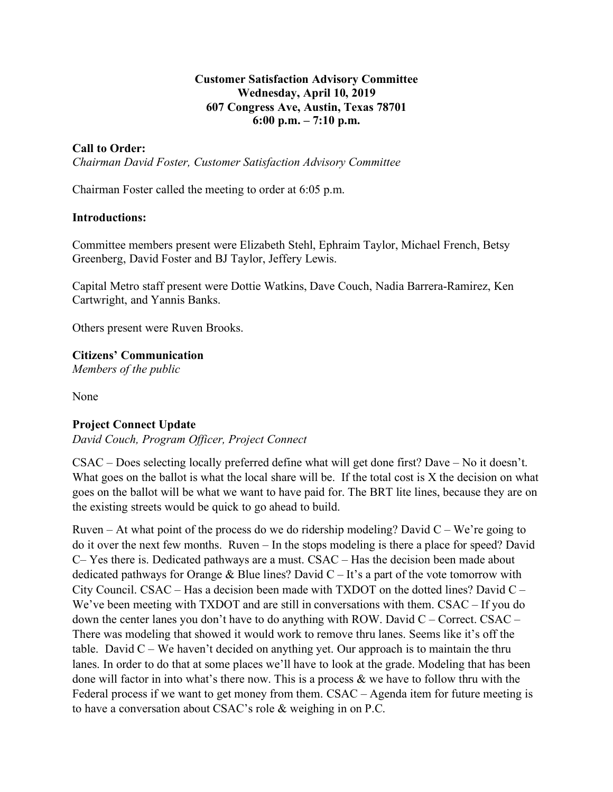# **Customer Satisfaction Advisory Committee Wednesday, April 10, 2019 607 Congress Ave, Austin, Texas 78701 6:00 p.m. – 7:10 p.m.**

# **Call to Order:**

*Chairman David Foster, Customer Satisfaction Advisory Committee*

Chairman Foster called the meeting to order at 6:05 p.m.

#### **Introductions:**

Committee members present were Elizabeth Stehl, Ephraim Taylor, Michael French, Betsy Greenberg, David Foster and BJ Taylor, Jeffery Lewis.

Capital Metro staff present were Dottie Watkins, Dave Couch, Nadia Barrera-Ramirez, Ken Cartwright, and Yannis Banks.

Others present were Ruven Brooks.

**Citizens' Communication**

*Members of the public*

None

#### **Project Connect Update**

*David Couch, Program Officer, Project Connect*

CSAC – Does selecting locally preferred define what will get done first? Dave – No it doesn't. What goes on the ballot is what the local share will be. If the total cost is X the decision on what goes on the ballot will be what we want to have paid for. The BRT lite lines, because they are on the existing streets would be quick to go ahead to build.

Ruven – At what point of the process do we do ridership modeling? David  $C - We're going to$ do it over the next few months. Ruven – In the stops modeling is there a place for speed? David C– Yes there is. Dedicated pathways are a must. CSAC – Has the decision been made about dedicated pathways for Orange & Blue lines? David  $C - It$ 's a part of the vote tomorrow with City Council. CSAC – Has a decision been made with TXDOT on the dotted lines? David  $C -$ We've been meeting with TXDOT and are still in conversations with them. CSAC – If you do down the center lanes you don't have to do anything with ROW. David  $C -$ Correct. CSAC – There was modeling that showed it would work to remove thru lanes. Seems like it's off the table. David  $C - We$  haven't decided on anything yet. Our approach is to maintain the thru lanes. In order to do that at some places we'll have to look at the grade. Modeling that has been done will factor in into what's there now. This is a process  $\&$  we have to follow thru with the Federal process if we want to get money from them. CSAC – Agenda item for future meeting is to have a conversation about CSAC's role & weighing in on P.C.